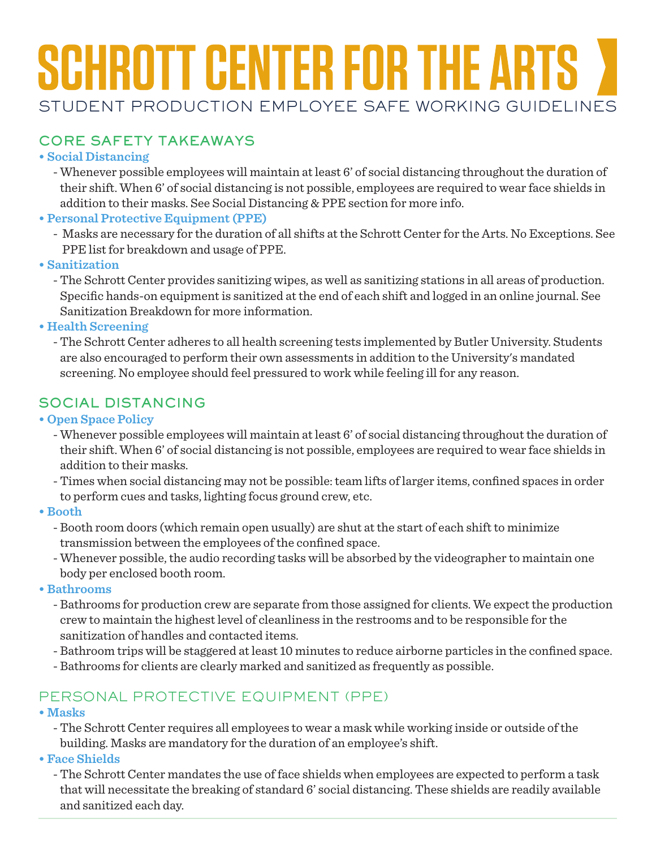# **SCHROTT CENTER FOR THE ARTS** STUDENT PRODUCTION EMPLOYEE SAFE WORKING GUIDELINES

## CORE SAFETY TAKEAWAYS

#### **• Social Distancing**

- Whenever possible employees will maintain at least 6' of social distancing throughout the duration of their shift. When 6' of social distancing is not possible, employees are required to wear face shields in addition to their masks. See Social Distancing & PPE section for more info.
- **Personal Protective Equipment (PPE)**
	- Masks are necessary for the duration of all shifts at the Schrott Center for the Arts. No Exceptions. See PPE list for breakdown and usage of PPE.
- **Sanitization**
	- The Schrott Center provides sanitizing wipes, as well as sanitizing stations in all areas of production. Specific hands-on equipment is sanitized at the end of each shift and logged in an online journal. See Sanitization Breakdown for more information.
- **Health Screening**
	- The Schrott Center adheres to all health screening tests implemented by Butler University. Students are also encouraged to perform their own assessments in addition to the University's mandated screening. No employee should feel pressured to work while feeling ill for any reason.

## SOCIAL DISTANCING

#### **• Open Space Policy**

- Whenever possible employees will maintain at least 6' of social distancing throughout the duration of their shift. When 6' of social distancing is not possible, employees are required to wear face shields in addition to their masks.
- Times when social distancing may not be possible: team lifts of larger items, confined spaces in order to perform cues and tasks, lighting focus ground crew, etc.
- **Booth**
	- Booth room doors (which remain open usually) are shut at the start of each shift to minimize transmission between the employees of the confined space.
	- Whenever possible, the audio recording tasks will be absorbed by the videographer to maintain one body per enclosed booth room.
- **Bathrooms**
	- Bathrooms for production crew are separate from those assigned for clients. We expect the production crew to maintain the highest level of cleanliness in the restrooms and to be responsible for the sanitization of handles and contacted items.
	- Bathroom trips will be staggered at least 10 minutes to reduce airborne particles in the confined space.
	- Bathrooms for clients are clearly marked and sanitized as frequently as possible.

# PERSONAL PROTECTIVE EQUIPMENT (PPE)

- **Masks**
	- The Schrott Center requires all employees to wear a mask while working inside or outside of the building. Masks are mandatory for the duration of an employee's shift.
- **Face Shields**
	- The Schrott Center mandates the use of face shields when employees are expected to perform a task that will necessitate the breaking of standard 6' social distancing. These shields are readily available and sanitized each day.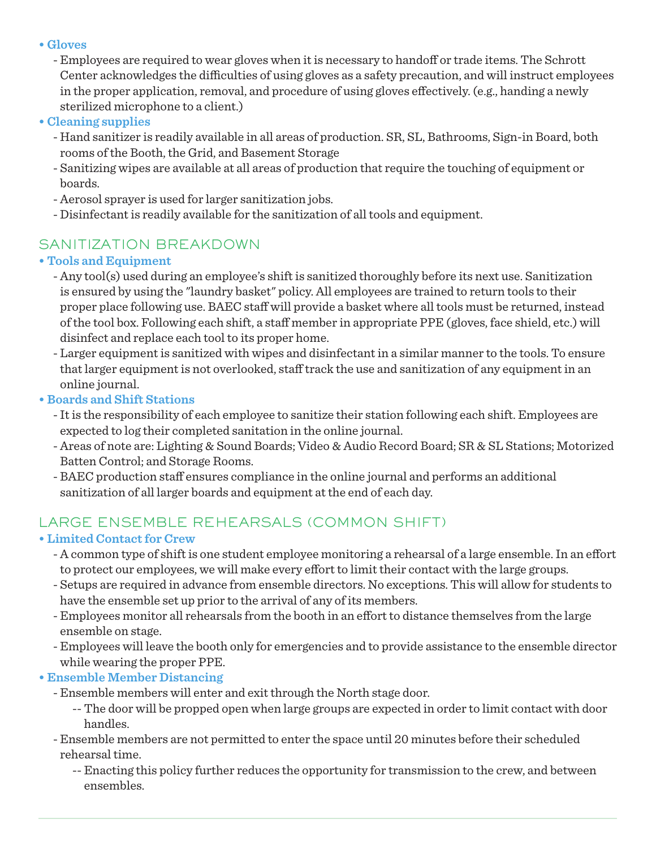**• Gloves**

- Employees are required to wear gloves when it is necessary to handoff or trade items. The Schrott Center acknowledges the difficulties of using gloves as a safety precaution, and will instruct employees in the proper application, removal, and procedure of using gloves effectively. (e.g., handing a newly sterilized microphone to a client.)

- **Cleaning supplies**
	- Hand sanitizer is readily available in all areas of production. SR, SL, Bathrooms, Sign-in Board, both rooms of the Booth, the Grid, and Basement Storage
	- Sanitizing wipes are available at all areas of production that require the touching of equipment or boards.
	- Aerosol sprayer is used for larger sanitization jobs.
	- Disinfectant is readily available for the sanitization of all tools and equipment.

### SANITIZATION BREAKDOWN

#### **• Tools and Equipment**

- Any tool(s) used during an employee's shift is sanitized thoroughly before its next use. Sanitization is ensured by using the "laundry basket" policy. All employees are trained to return tools to their proper place following use. BAEC staff will provide a basket where all tools must be returned, instead of the tool box. Following each shift, a staff member in appropriate PPE (gloves, face shield, etc.) will disinfect and replace each tool to its proper home.
- Larger equipment is sanitized with wipes and disinfectant in a similar manner to the tools. To ensure that larger equipment is not overlooked, staff track the use and sanitization of any equipment in an online journal.

#### **• Boards and Shift Stations**

- It is the responsibility of each employee to sanitize their station following each shift. Employees are expected to log their completed sanitation in the online journal.
- Areas of note are: Lighting & Sound Boards; Video & Audio Record Board; SR & SL Stations; Motorized Batten Control; and Storage Rooms.
- BAEC production staff ensures compliance in the online journal and performs an additional sanitization of all larger boards and equipment at the end of each day.

# LARGE ENSEMBLE REHEARSALS (COMMON SHIFT)

#### **• Limited Contact for Crew**

- A common type of shift is one student employee monitoring a rehearsal of a large ensemble. In an effort to protect our employees, we will make every effort to limit their contact with the large groups.
- Setups are required in advance from ensemble directors. No exceptions. This will allow for students to have the ensemble set up prior to the arrival of any of its members.
- Employees monitor all rehearsals from the booth in an effort to distance themselves from the large ensemble on stage.
- Employees will leave the booth only for emergencies and to provide assistance to the ensemble director while wearing the proper PPE.

#### **• Ensemble Member Distancing**

- Ensemble members will enter and exit through the North stage door.
	- -- The door will be propped open when large groups are expected in order to limit contact with door handles.
- Ensemble members are not permitted to enter the space until 20 minutes before their scheduled rehearsal time.
	- -- Enacting this policy further reduces the opportunity for transmission to the crew, and between ensembles.